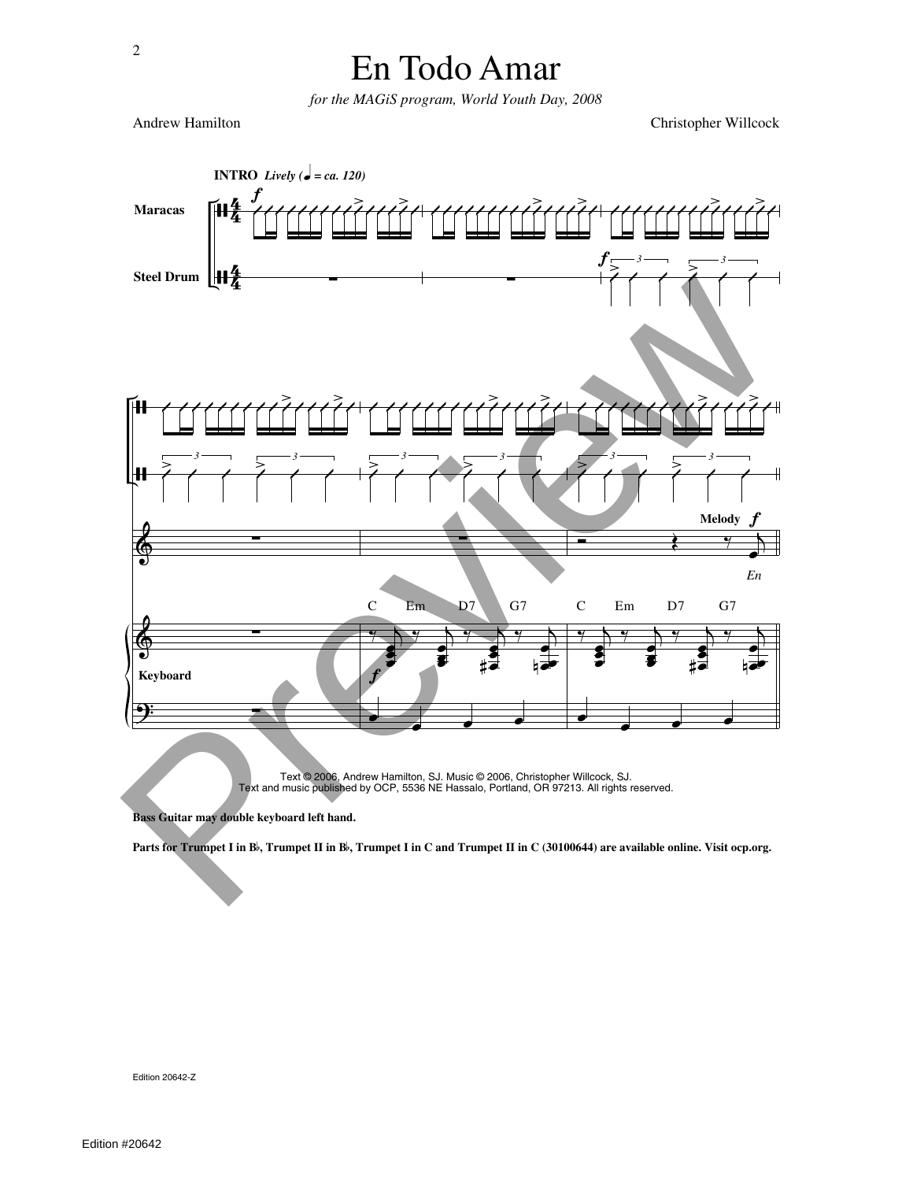*for the MAGiS program, World Youth Day, 2008*

Andrew Hamilton Christopher Willcock



Text © 2006, Andrew Hamilton, SJ. Music © 2006, Christopher Willcock, SJ. Text and music published by OCP, 5536 NE Hassalo, Portland, OR 97213. All rights reserved.

**Bass Guitar may double keyboard left hand.**

Parts for Trumpet I in B<sup>)</sup>, Trumpet II in B<sup>)</sup>, Trumpet I in C and Trumpet II in C (30100644) are available online. Visit ocp.org.

Edition 20642-Z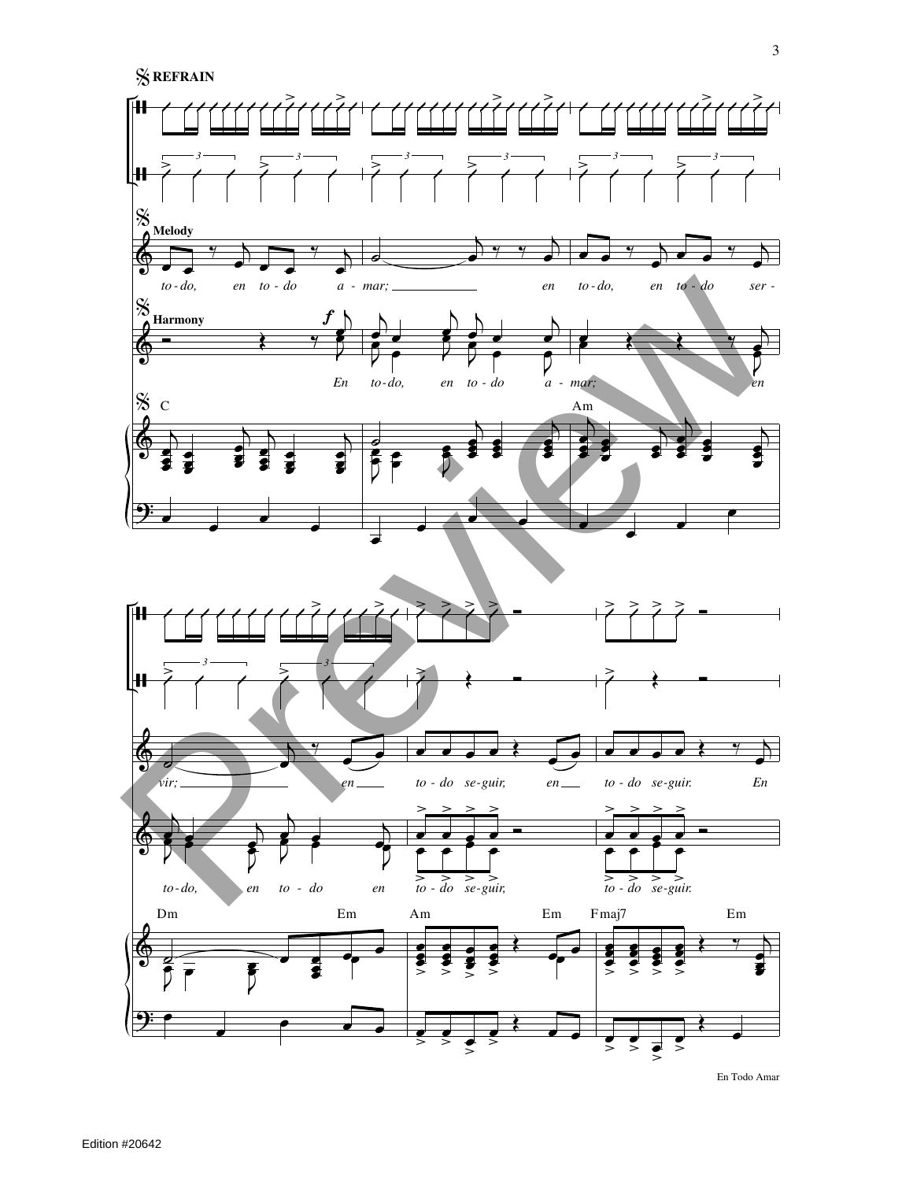

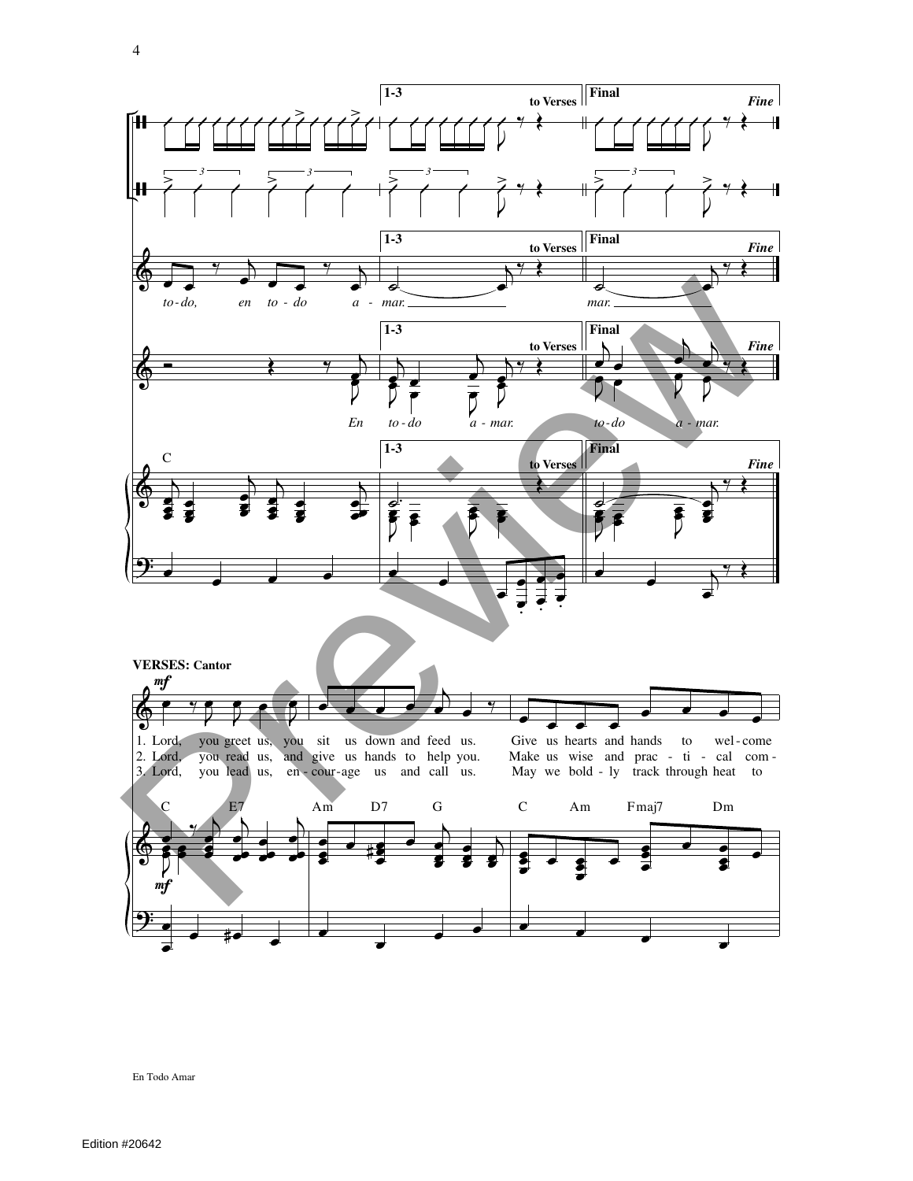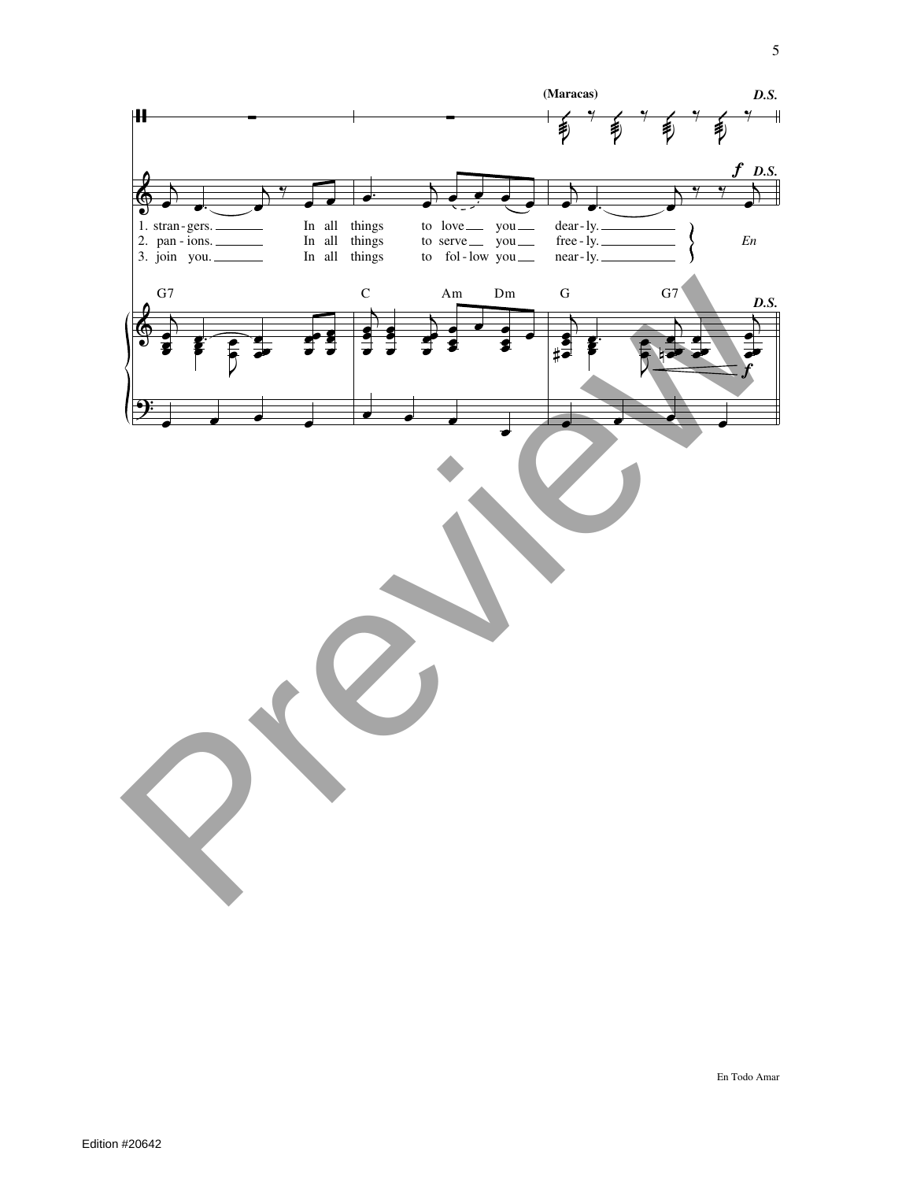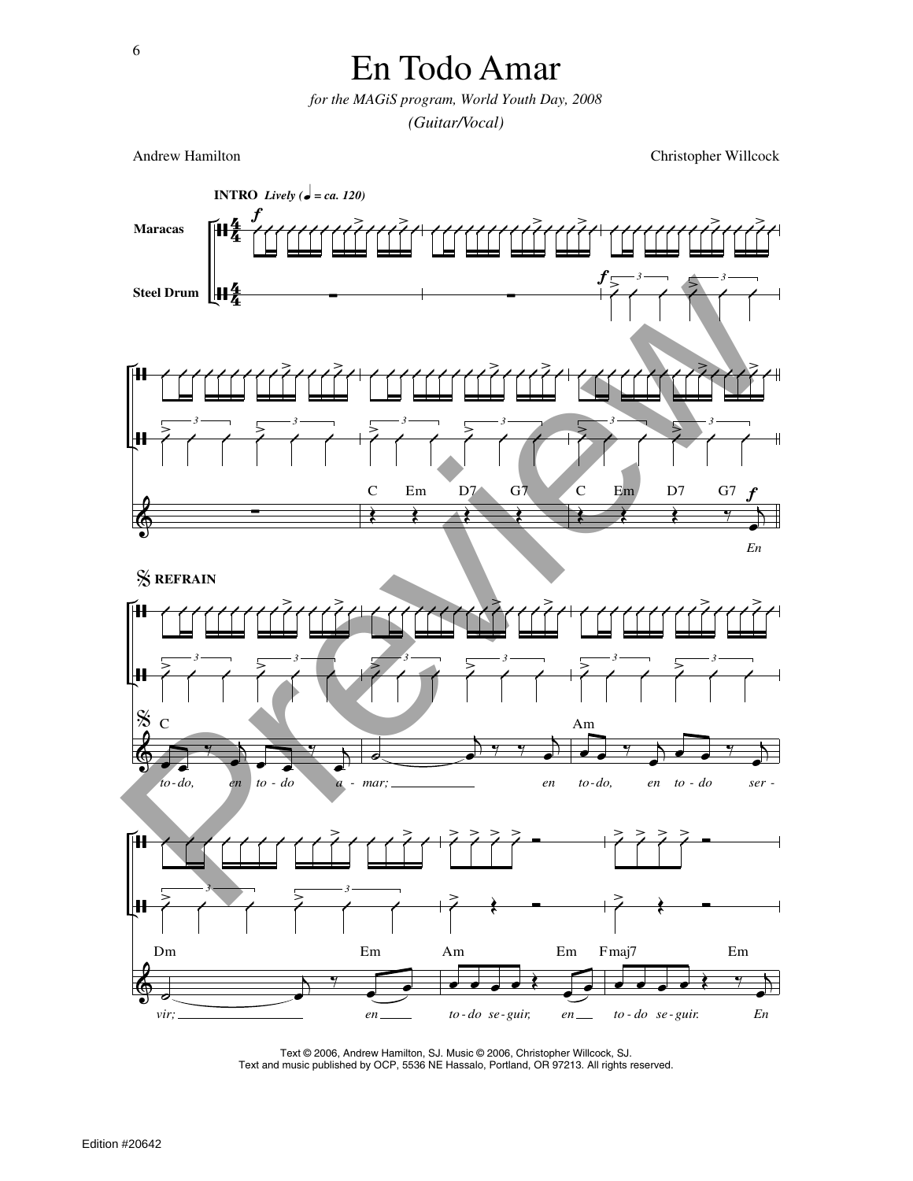*for the MAGiS program, World Youth Day, 2008 (Guitar/Vocal)*

Andrew Hamilton Christopher Willcock



Text © 2006, Andrew Hamilton, SJ. Music © 2006, Christopher Willcock, SJ. Text and music published by OCP, 5536 NE Hassalo, Portland, OR 97213. All rights reserved.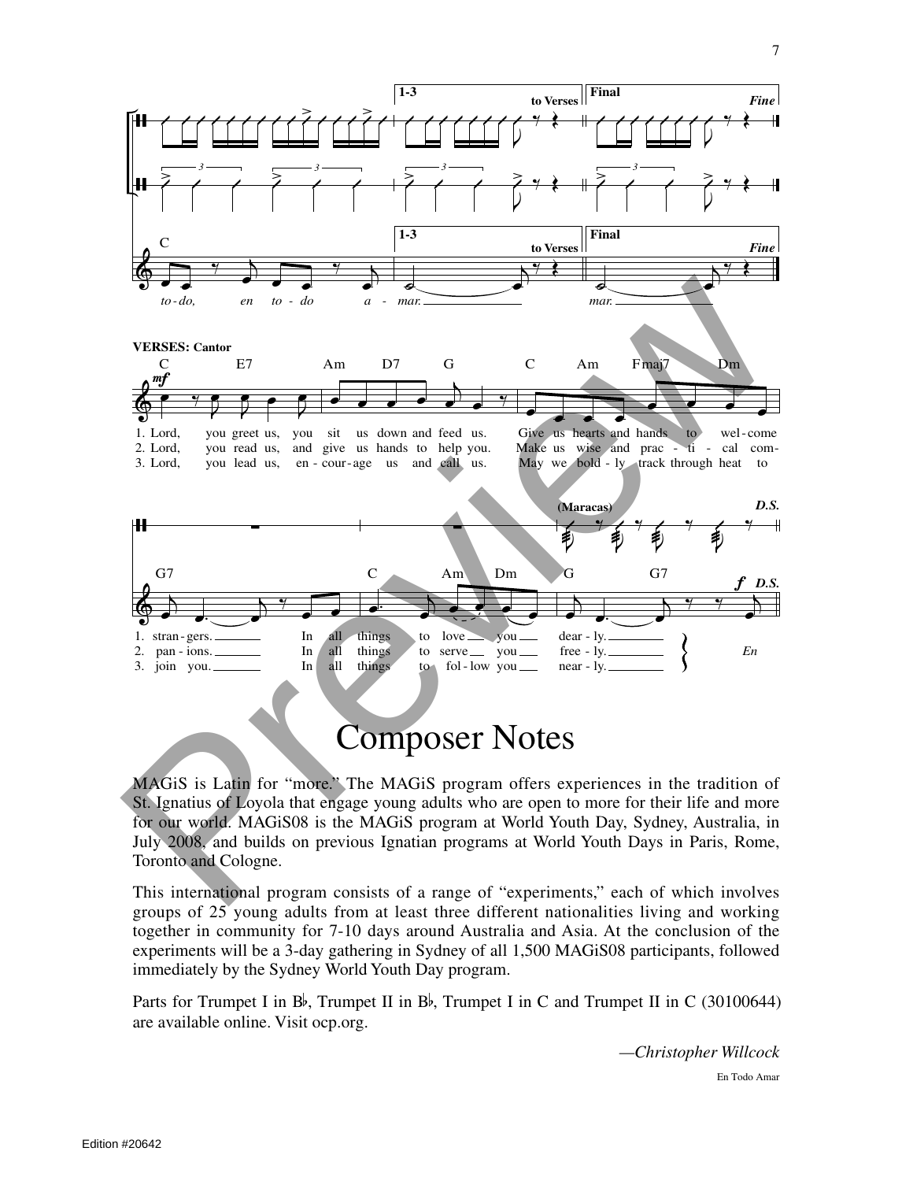

## Composer Notes

MAGiS is Latin for "more." The MAGiS program offers experiences in the tradition of St. Ignatius of Loyola that engage young adults who are open to more for their life and more for our world. MAGiS08 is the MAGiS program at World Youth Day, Sydney, Australia, in July 2008, and builds on previous Ignatian programs at World Youth Days in Paris, Rome, Toronto and Cologne.

This international program consists of a range of "experiments," each of which involves groups of 25 young adults from at least three different nationalities living and working together in community for 7-10 days around Australia and Asia. At the conclusion of the experiments will be a 3-day gathering in Sydney of all 1,500 MAGiS08 participants, followed immediately by the Sydney World Youth Day program.

Parts for Trumpet I in B<sup> $\flat$ </sup>, Trumpet II in B $\flat$ , Trumpet I in C and Trumpet II in C (30100644) are available online. Visit ocp.org.

> En Todo Amar *—Christopher Willcock*